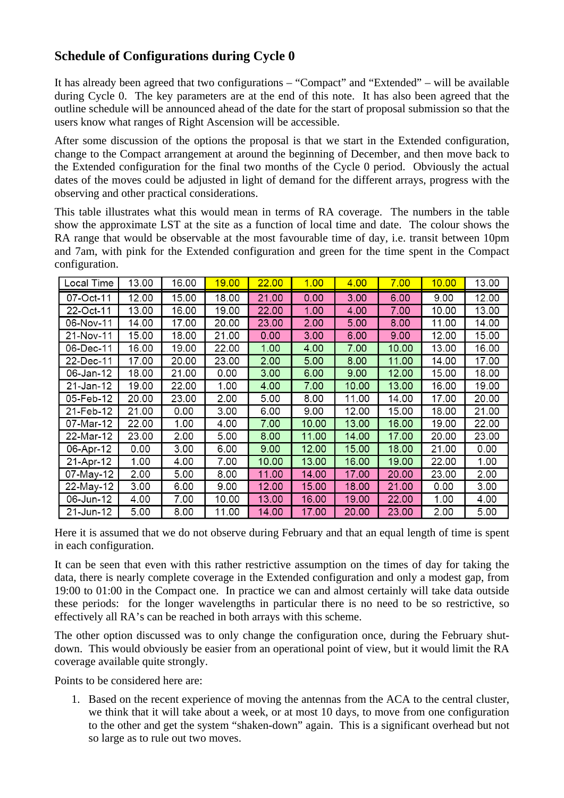## **Schedule of Configurations during Cycle 0**

It has already been agreed that two configurations – "Compact" and "Extended" – will be available during Cycle 0. The key parameters are at the end of this note. It has also been agreed that the outline schedule will be announced ahead of the date for the start of proposal submission so that the users know what ranges of Right Ascension will be accessible.

After some discussion of the options the proposal is that we start in the Extended configuration, change to the Compact arrangement at around the beginning of December, and then move back to the Extended configuration for the final two months of the Cycle 0 period. Obviously the actual dates of the moves could be adjusted in light of demand for the different arrays, progress with the observing and other practical considerations.

This table illustrates what this would mean in terms of RA coverage. The numbers in the table show the approximate LST at the site as a function of local time and date. The colour shows the RA range that would be observable at the most favourable time of day, i.e. transit between 10pm and 7am, with pink for the Extended configuration and green for the time spent in the Compact configuration.

| Local Time | 13.00 | 16.00 | <u><b>19.00</b></u> | 22.00 | 1.00  | 4.00  | 7.00  | 10.00 | 13.00 |
|------------|-------|-------|---------------------|-------|-------|-------|-------|-------|-------|
| 07-Oct-11  | 12.00 | 15.00 | 18.00               | 21.00 | 0.00  | 3.00  | 6.00  | 9.00  | 12.00 |
| 22-Oct-11  | 13.00 | 16.00 | 19.00               | 22.00 | 1.00  | 4.00  | 7.00  | 10.00 | 13.00 |
| 06-Nov-11  | 14.00 | 17.00 | 20.00               | 23.00 | 2.00  | 5.00  | 8.00  | 11.00 | 14.00 |
| 21-Nov-11  | 15.00 | 18.00 | 21.00               | 0.00  | 3.00  | 6.00  | 9.00  | 12.00 | 15.00 |
| 06-Dec-11  | 16.00 | 19.00 | 22.00               | 1.00  | 4.00  | 7.00  | 10.00 | 13.00 | 16.00 |
| 22-Dec-11  | 17.00 | 20.00 | 23.00               | 2.00  | 5.00  | 8.00  | 11.00 | 14.00 | 17.00 |
| 06-Jan-12  | 18.00 | 21.00 | 0.00                | 3.00  | 6.00  | 9.00  | 12.00 | 15.00 | 18.00 |
| 21-Jan-12  | 19.00 | 22.00 | 1.00                | 4.00  | 7.00  | 10.00 | 13.00 | 16.00 | 19.00 |
| 05-Feb-12  | 20.00 | 23.00 | 2.00                | 5.00  | 8.00  | 11.00 | 14.00 | 17.00 | 20.00 |
| 21-Feb-12  | 21.00 | 0.00  | 3.00                | 6.00  | 9.00  | 12.00 | 15.00 | 18.00 | 21.00 |
| 07-Mar-12  | 22.00 | 1.00  | 4.00                | 7.00  | 10.00 | 13.00 | 16.00 | 19.00 | 22.00 |
| 22-Mar-12  | 23.00 | 2.00  | 5.00                | 8.00  | 11.00 | 14.00 | 17.00 | 20.00 | 23.00 |
| 06-Apr-12  | 0.00  | 3.00  | 6.00                | 9.00  | 12.00 | 15.00 | 18.00 | 21.00 | 0.00  |
| 21-Apr-12  | 1.00  | 4.00  | 7.00                | 10.00 | 13.00 | 16.00 | 19.00 | 22.00 | 1.00  |
| 07-May-12  | 2.00  | 5.00  | 8.00                | 11.00 | 14.00 | 17.00 | 20.00 | 23.00 | 2.00  |
| 22-May-12  | 3.00  | 6.00  | 9.00                | 12.00 | 15.00 | 18.00 | 21.00 | 0.00  | 3.00  |
| 06-Jun-12  | 4.00  | 7.00  | 10.00               | 13.00 | 16.00 | 19.00 | 22.00 | 1.00  | 4.00  |
| 21-Jun-12  | 5.00  | 8.00  | 11.00               | 14.00 | 17.00 | 20.00 | 23.00 | 2.00  | 5.00  |

Here it is assumed that we do not observe during February and that an equal length of time is spent in each configuration.

It can be seen that even with this rather restrictive assumption on the times of day for taking the data, there is nearly complete coverage in the Extended configuration and only a modest gap, from 19:00 to 01:00 in the Compact one. In practice we can and almost certainly will take data outside these periods: for the longer wavelengths in particular there is no need to be so restrictive, so effectively all RA's can be reached in both arrays with this scheme.

The other option discussed was to only change the configuration once, during the February shutdown. This would obviously be easier from an operational point of view, but it would limit the RA coverage available quite strongly.

Points to be considered here are:

1. Based on the recent experience of moving the antennas from the ACA to the central cluster, we think that it will take about a week, or at most 10 days, to move from one configuration to the other and get the system "shaken-down" again. This is a significant overhead but not so large as to rule out two moves.